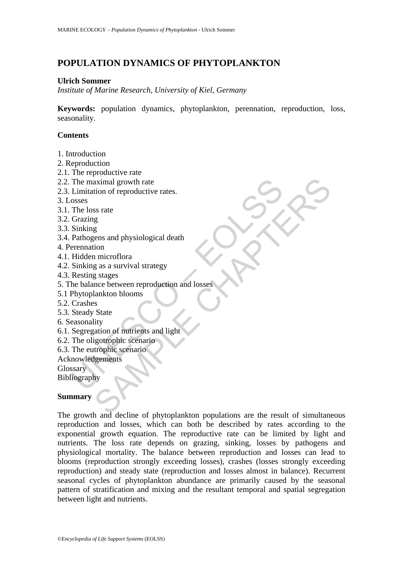# **POPULATION DYNAMICS OF PHYTOPLANKTON**

#### **Ulrich Sommer**

*Institute of Marine Research, University of Kiel, Germany*

**Keywords:** population dynamics, phytoplankton, perennation, reproduction, loss, seasonality.

#### **Contents**

- 1. Introduction
- 2. Reproduction
- 2.1. The reproductive rate
- 2.2. The maximal growth rate
- 2.3. Limitation of reproductive rates.
- 3. Losses
- 3.1. The loss rate
- 3.2. Grazing
- 3.3. Sinking
- 3.4. Pathogens and physiological death
- 4. Perennation
- 4.1. Hidden microflora
- 4.2. Sinking as a survival strategy
- 4.3. Resting stages
- The maximal growth rate<br>
Limitation of reproductive rates.<br>
Soses<br>
Oscals<br>
Chrab loss rate<br>
Grazing<br>
Sinking<br>
Sinking as a survival strategy<br>
Sinking as a survival strategy<br>
Resting stages<br>
Resting stages<br>
the balance betw 5. The balance between reproduction and losses
- 5.1 Phytoplankton blooms
- 5.2. Crashes
- 5.3. Steady State
- 6. Seasonality
- 6.1. Segregation of nutrients and light
- 6.2. The oligotrophic scenario
- 6.3. The eutrophic scenario
- Acknowledgements

**Glossary** 

Bibliography

### **Summary**

Example and physiological death<br>
SE and physiological death<br>
SE and physiological death<br>
SE and physiological death<br>
The microflora<br>
and an interplete state<br>
State<br>
State<br>
State<br>
State<br>
State<br>
State<br>
State<br>
State<br>
State<br>
S The growth and decline of phytoplankton populations are the result of simultaneous reproduction and losses, which can both be described by rates according to the exponential growth equation. The reproductive rate can be limited by light and nutrients. The loss rate depends on grazing, sinking, losses by pathogens and physiological mortality. The balance between reproduction and losses can lead to blooms (reproduction strongly exceeding losses), crashes (losses strongly exceeding reproduction) and steady state (reproduction and losses almost in balance). Recurrent seasonal cycles of phytoplankton abundance are primarily caused by the seasonal pattern of stratification and mixing and the resultant temporal and spatial segregation between light and nutrients.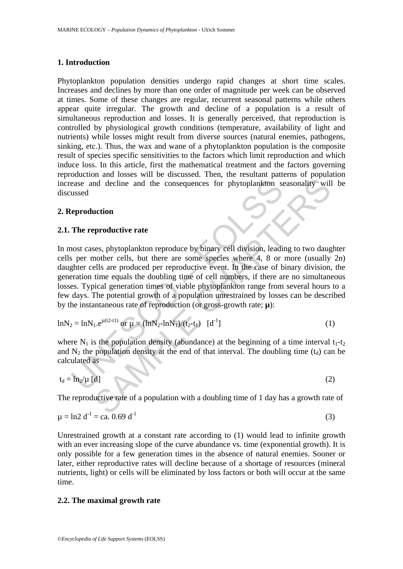### **1. Introduction**

Phytoplankton population densities undergo rapid changes at short time scales. Increases and declines by more than one order of magnitude per week can be observed at times. Some of these changes are regular, recurrent seasonal patterns while others appear quite irregular. The growth and decline of a population is a result of simultaneous reproduction and losses. It is generally perceived, that reproduction is controlled by physiological growth conditions (temperature, availability of light and nutrients) while losses might result from diverse sources (natural enemies, pathogens, sinking, etc.). Thus, the wax and wane of a phytoplankton population is the composite result of species specific sensitivities to the factors which limit reproduction and which induce loss. In this article, first the mathematical treatment and the factors governing reproduction and losses will be discussed. Then, the resultant patterns of population increase and decline and the consequences for phytoplankton seasonality will be discussed

### **2. Reproduction**

## **2.1. The reproductive rate**

ease and decline and the consequences for phytoplankton sussed<br>
ussed<br>
te**production**<br>
The reproductive rate<br>
nost cases, phytoplankton reproduce by binary cell division, leading<br>
per mother cells, but there are some spec and decline and the consequences for phytoplankton seasonality will<br> **and decline and the consequences for phytoplankton seasonality will**<br> **are the set all the consequences** for phytoplankton seasonality will<br>
due time c In most cases, phytoplankton reproduce by binary cell division, leading to two daughter cells per mother cells, but there are some species where 4, 8 or more (usually 2n) daughter cells are produced per reproductive event. In the case of binary division, the generation time equals the doubling time of cell numbers, if there are no simultaneous losses. Typical generation times of viable phytoplankton range from several hours to a few days. The potential growth of a population unrestrained by losses can be described by the instantaneous rate of reproduction (or gross-growth rate; **µ**):

$$
ln N_2 = ln N_1.e^{\mu(t2-t1)} \text{ or } \mu = (ln N_2 - ln N_1)/(t_2 - t_1) \quad [d^{-1}]
$$
 (1)

where  $N_1$  is the population density (abundance) at the beginning of a time interval  $t_1-t_2$ and  $N_2$  the population density at the end of that interval. The doubling time ( $t_d$ ) can be calculated as

$$
t_d = \ln_2/\mu \text{ [d]}
$$
 (2)

The reproductive rate of a population with a doubling time of 1 day has a growth rate of

$$
\mu = \ln 2 \, d^{-1} = ca. \, 0.69 \, d^{-1} \tag{3}
$$

Unrestrained growth at a constant rate according to (1) would lead to infinite growth with an ever increasing slope of the curve abundance vs. time (exponential growth). It is only possible for a few generation times in the absence of natural enemies. Sooner or later, either reproductive rates will decline because of a shortage of resources (mineral nutrients, light) or cells will be eliminated by loss factors or both will occur at the same time.

### **2.2. The maximal growth rate**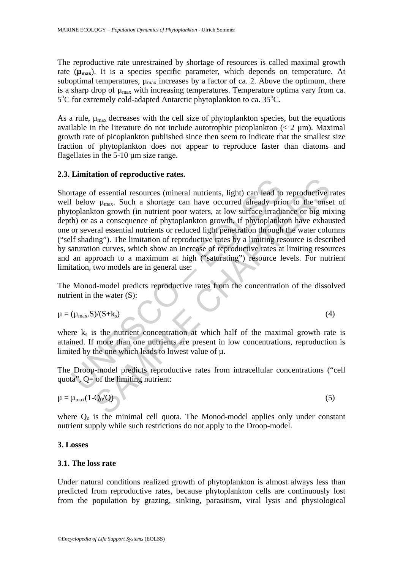The reproductive rate unrestrained by shortage of resources is called maximal growth rate  $(\mu_{\text{max}})$ . It is a species specific parameter, which depends on temperature. At suboptimal temperatures,  $\mu_{\text{max}}$  increases by a factor of ca. 2. Above the optimum, there is a sharp drop of  $\mu_{\text{max}}$  with increasing temperatures. Temperature optima vary from ca. 5°C for extremely cold-adapted Antarctic phytoplankton to ca. 35°C.

As a rule,  $\mu_{\text{max}}$  decreases with the cell size of phytoplankton species, but the equations available in the literature do not include autotrophic picoplankton  $(< 2 \mu m)$ . Maximal growth rate of picoplankton published since then seem to indicate that the smallest size fraction of phytoplankton does not appear to reproduce faster than diatoms and flagellates in the 5-10 µm size range.

### **2.3. Limitation of reproductive rates.**

Trage of essential resources (mineral nutrients, light) can lead to<br>
below  $\mu_{\text{max}}$ . Such a shortage can have occurred already pricoplankton growth (in nutrient poor waters, at low surface irradiate<br>
or by or a a conseq the second is expected in the mass of the plane of the mass. Such a shorting can lead to reproductive  $\mu_{\text{max}}$ . Such a shorting can have occurred already prior to the onset of my mass, the other matric provides a conseq Shortage of essential resources (mineral nutrients, light) can lead to reproductive rates well below  $\mu_{\text{max}}$ . Such a shortage can have occurred already prior to the onset of phytoplankton growth (in nutrient poor waters, at low surface irradiance or big mixing depth) or as a consequence of phytoplankton growth, if phytoplankton have exhausted one or several essential nutrients or reduced light penetration through the water columns ("self shading"). The limitation of reproductive rates by a limiting resource is described by saturation curves, which show an increase of reproductive rates at limiting resources and an approach to a maximum at high ("saturating") resource levels. For nutrient limitation, two models are in general use:

The Monod-model predicts reproductive rates from the concentration of the dissolved nutrient in the water (S):

$$
\mu = (\mu_{\text{max}}.S)/(S + k_s) \tag{4}
$$

where  $k<sub>s</sub>$  is the nutrient concentration at which half of the maximal growth rate is attained. If more than one nutrients are present in low concentrations, reproduction is limited by the one which leads to lowest value of µ.

The Droop-model predicts reproductive rates from intracellular concentrations ("cell quota",  $Q=$  of the limiting nutrient:

$$
\mu = \mu_{\text{max}}(1 - Q_0/Q) \tag{5}
$$

where  $Q_0$  is the minimal cell quota. The Monod-model applies only under constant nutrient supply while such restrictions do not apply to the Droop-model.

### **3. Losses**

#### **3.1. The loss rate**

Under natural conditions realized growth of phytoplankton is almost always less than predicted from reproductive rates, because phytoplankton cells are continuously lost from the population by grazing, sinking, parasitism, viral lysis and physiological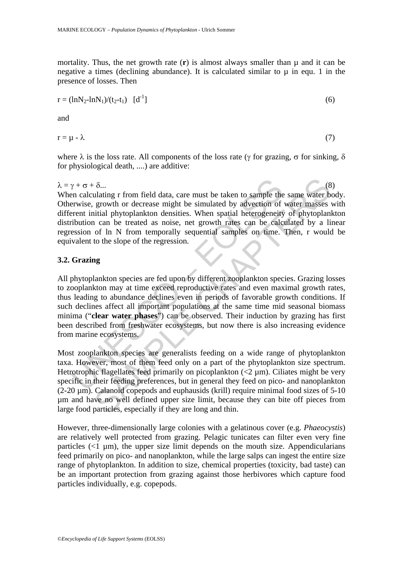mortality. Thus, the net growth rate  $(r)$  is almost always smaller than  $\mu$  and it can be negative a times (declining abundance). It is calculated similar to  $\mu$  in equ. 1 in the presence of losses. Then

$$
r = (\ln N_2 - \ln N_1)/(t_2 - t_1) \quad [d^{-1}]
$$
\n(6)

and

$$
r = \mu - \lambda \tag{7}
$$

where  $\lambda$  is the loss rate. All components of the loss rate (γ for grazing,  $\sigma$  for sinking,  $\delta$ for physiological death, ....) are additive:

 $\lambda = \gamma + \sigma + \delta$ ... (8) When calculating r from field data, care must be taken to sample the same water body. Otherwise, growth or decrease might be simulated by advection of water masses with different initial phytoplankton densities. When spatial heterogeneity of phytoplankton distribution can be treated as noise, net growth rates can be calculated by a linear regression of ln N from temporally sequential samples on time. Then, r would be equivalent to the slope of the regression.

#### **3.2. Grazing**

 $\gamma + \sigma + \delta$ ...<br>
an calculating r from field data, care must be taken to sample the<br>
erwise, growth or decrease might be simulated by advection of<br>
erent initial phytoplankton densities. When spatial heterogeneity<br>
fibution δ...<br>
alating r from field data, care must be taken to sample the same water b<br>
growth or decrease might be simulated by advection of water masses<br>
in tial phytoplankton densities. When spatial heterogeneity of phytoplan All phytoplankton species are fed upon by different zooplankton species. Grazing losses to zooplankton may at time exceed reproductive rates and even maximal growth rates, thus leading to abundance declines even in periods of favorable growth conditions. If such declines affect all important populations at the same time mid seasonal biomass minima ("**clear water phases**") can be observed. Their induction by grazing has first been described from freshwater ecosystems, but now there is also increasing evidence from marine ecosystems.

Most zooplankton species are generalists feeding on a wide range of phytoplankton taxa. However, most of them feed only on a part of the phytoplankton size spectrum. Hetrotrophic flagellates feed primarily on picoplankton  $\left($ <2  $\mu$ m). Ciliates might be very specific in their feeding preferences, but in general they feed on pico- and nanoplankton (2-20 µm). Calanoid copepods and euphausids (krill) require minimal food sizes of 5-10 µm and have no well defined upper size limit, because they can bite off pieces from large food particles, especially if they are long and thin.

However, three-dimensionally large colonies with a gelatinous cover (e.g. *Phaeocystis*) are relatively well protected from grazing. Pelagic tunicates can filter even very fine particles  $(\langle 1 \mu m \rangle)$ , the upper size limit depends on the mouth size. Appendicularians feed primarily on pico- and nanoplankton, while the large salps can ingest the entire size range of phytoplankton. In addition to size, chemical properties (toxicity, bad taste) can be an important protection from grazing against those herbivores which capture food particles individually, e.g. copepods.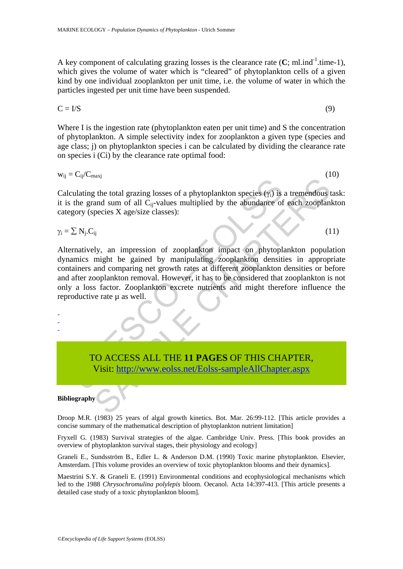A key component of calculating grazing losses is the clearance rate  $(C; \text{ml} \cdot \text{ml} \cdot \text{ml} \cdot \text{ml} \cdot \text{ml})$ , which gives the volume of water which is "cleared" of phytoplankton cells of a given kind by one individual zooplankton per unit time, i.e. the volume of water in which the particles ingested per unit time have been suspended.

$$
C = I/S
$$
 (9)

Where I is the ingestion rate (phytoplankton eaten per unit time) and S the concentration of phytoplankton. A simple selectivity index for zooplankton a given type (species and age class; j) on phytoplankton species i can be calculated by dividing the clearance rate on species i (Ci) by the clearance rate optimal food:

$$
w_{ij} = C_{ij}/C_{maxj}
$$
 (10)

Calculating the total grazing losses of a phytoplankton species  $(\gamma_i)$  is a tremendous task: it is the grand sum of all Cij-values multiplied by the abundance of each zooplankton category (species X age/size classes):

$$
\gamma_i = \sum N_j C_{ij} \tag{11}
$$

containing the total grazing losses of a phytoplankton species  $(\gamma_i)$  is<br>the grand sum of all  $C_{ij}$ -values multiplied by the abundance of<br>gory (species X age/size classes):<br> $\sum N_j.C_{ij}$ <br>rmatively, an impression of zooplank S[AMP](https://www.eolss.net/ebooklib/sc_cart.aspx?File=E2-27-03-02)LE CONDITENT (STEED THIS CHAPTER,<br>
SAMPLE CONDITENT CONDUCTS AND THE CHAPTER (STEED AND SAMPLE CONDITENT AND SAMPLE CONDITENTING THE SAMPLE CONDITENT (1)<br>
SAMPLE CHAPTER CHAPTER (STEED AND NOTE ON THE SAMPLE CONDITANT Alternatively, an impression of zooplankton impact on phytoplankton population dynamics might be gained by manipulating zooplankton densities in appropriate containers and comparing net growth rates at different zooplankton densities or before and after zooplankton removal. However, it has to be considered that zooplankton is not only a loss factor. Zooplankton excrete nutrients and might therefore influence the reproductive rate  $\mu$  as well.

TO ACCESS ALL THE **11 PAGES** OF THIS CHAPTER, Visit: http://www.eolss.net/Eolss-sampleAllChapter.aspx

#### **Bibliography**

- - -

Droop M.R. (1983) 25 years of algal growth kinetics. Bot. Mar. 26:99-112. [This article provides a concise summary of the mathematical description of phytoplankton nutrient limitation]

Fryxell G. (1983) Survival strategies of the algae. Cambridge Univ. Press. [This book provides an overview of phytoplankton survival stages, their physiology and ecology]

Graneli E., Sundsström B., Edler L. & Anderson D.M. (1990) Toxic marine phytoplankton. Elsevier, Amsterdam. [This volume provides an overview of toxic phytoplankton blooms and their dynamics].

Maestrini S.Y. & Graneli E. (1991) Environmental conditions and ecophysiological mechanisms which led to the 1988 *Chrysochromulina polylepis* bloom. Oecanol. Acta 14:397-413. [This article presents a detailed case study of a toxic phytoplankton bloom].